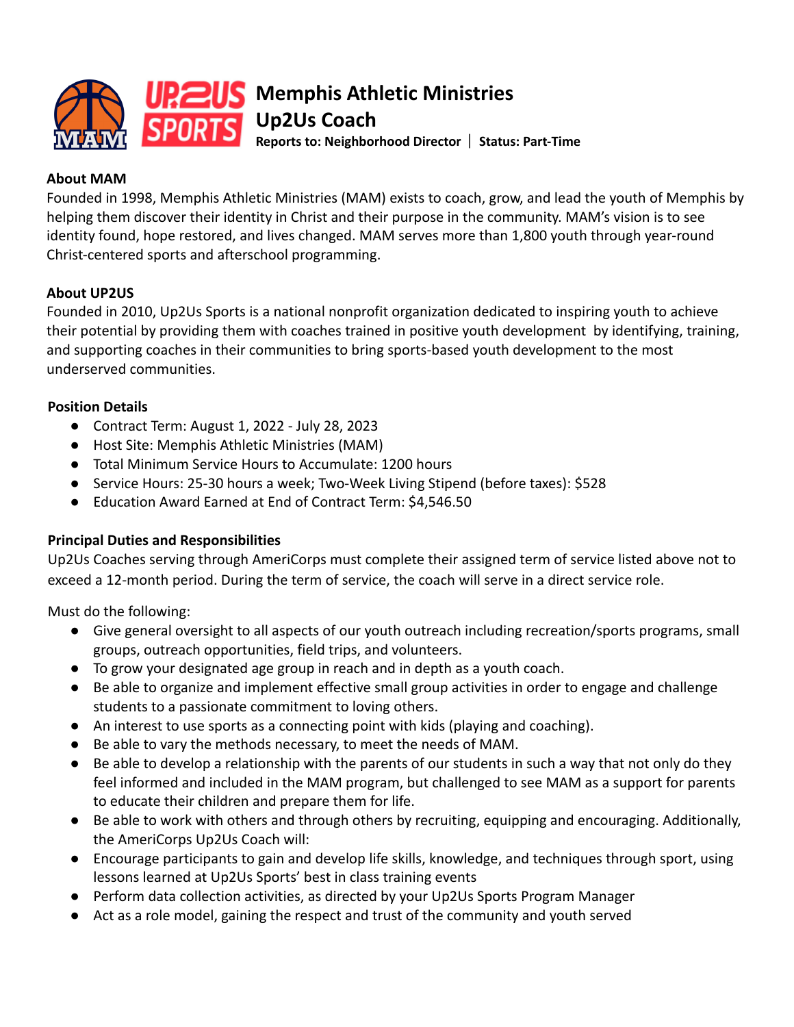

**Memphis Athletic Ministries Up2Us Coach**

**Reports to: Neighborhood Director** ⎸ **Status: Part-Time**

# **About MAM**

Founded in 1998, Memphis Athletic Ministries (MAM) exists to coach, grow, and lead the youth of Memphis by helping them discover their identity in Christ and their purpose in the community. MAM's vision is to see identity found, hope restored, and lives changed. MAM serves more than 1,800 youth through year-round Christ-centered sports and afterschool programming.

# **About UP2US**

Founded in 2010, Up2Us Sports is a national nonprofit organization dedicated to inspiring youth to achieve their potential by providing them with coaches trained in positive youth development by identifying, training, and supporting coaches in their communities to bring sports-based youth development to the most underserved communities.

### **Position Details**

- Contract Term: August 1, 2022 July 28, 2023
- Host Site: Memphis Athletic Ministries (MAM)
- Total Minimum Service Hours to Accumulate: 1200 hours
- Service Hours: 25-30 hours a week; Two-Week Living Stipend (before taxes): \$528
- Education Award Earned at End of Contract Term: \$4,546.50

### **Principal Duties and Responsibilities**

Up2Us Coaches serving through AmeriCorps must complete their assigned term of service listed above not to exceed a 12-month period. During the term of service, the coach will serve in a direct service role.

Must do the following:

- Give general oversight to all aspects of our youth outreach including recreation/sports programs, small groups, outreach opportunities, field trips, and volunteers.
- To grow your designated age group in reach and in depth as a youth coach.
- Be able to organize and implement effective small group activities in order to engage and challenge students to a passionate commitment to loving others.
- An interest to use sports as a connecting point with kids (playing and coaching).
- Be able to vary the methods necessary, to meet the needs of MAM.
- Be able to develop a relationship with the parents of our students in such a way that not only do they feel informed and included in the MAM program, but challenged to see MAM as a support for parents to educate their children and prepare them for life.
- Be able to work with others and through others by recruiting, equipping and encouraging. Additionally, the AmeriCorps Up2Us Coach will:
- Encourage participants to gain and develop life skills, knowledge, and techniques through sport, using lessons learned at Up2Us Sports' best in class training events
- Perform data collection activities, as directed by your Up2Us Sports Program Manager
- Act as a role model, gaining the respect and trust of the community and youth served